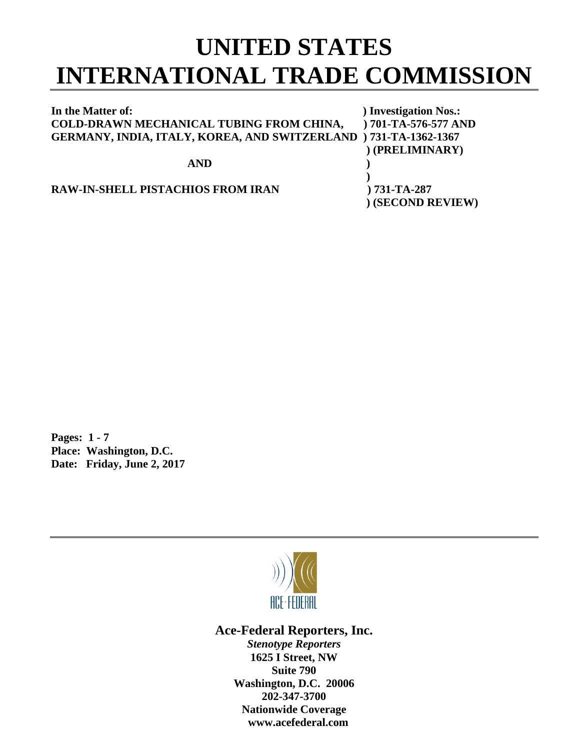## **UNITED STATES INTERNATIONAL TRADE COMMISSION**

| In the Matter of:                                                | ) Investigation Nos.:  |
|------------------------------------------------------------------|------------------------|
| COLD-DRAWN MECHANICAL TUBING FROM CHINA,                         | $) 701-TA-576-577 AND$ |
| GERMANY, INDIA, ITALY, KOREA, AND SWITZERLAND ) 731-TA-1362-1367 |                        |
|                                                                  | (PRELIMINARY)          |
| <b>AND</b>                                                       |                        |
|                                                                  |                        |
| <b>RAW-IN-SHELL PISTACHIOS FROM IRAN</b>                         | $) 731-TA-287$         |
|                                                                  | (SECOND REVIEW)        |

**Pages: 1 - 7 Place: Washington, D.C. Date: Friday, June 2, 2017**



**Ace-Federal Reporters, Inc.**

*Stenotype Reporters* **1625 I Street, NW Suite 790 Washington, D.C. 20006 202-347-3700 Nationwide Coverage www.acefederal.com**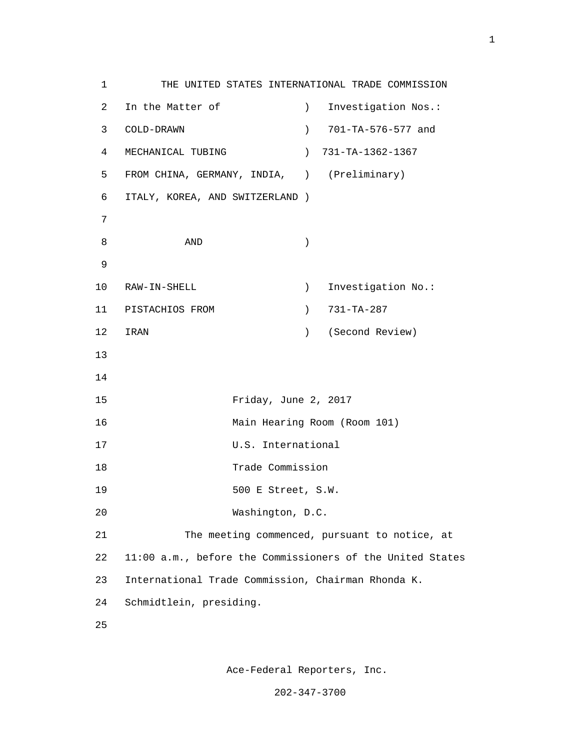1 THE UNITED STATES INTERNATIONAL TRADE COMMISSION 2 In the Matter of ) Investigation Nos.: 3 COLD-DRAWN ) 701-TA-576-577 and 4 MECHANICAL TUBING ) 731-TA-1362-1367 5 FROM CHINA, GERMANY, INDIA, ) (Preliminary) 6 ITALY, KOREA, AND SWITZERLAND ) 7  $8 \overline{\smash{\mathrm{AND}}}$  ) 9 10 RAW-IN-SHELL ) Investigation No.: 11 PISTACHIOS FROM (2001) 731-TA-287 12 IRAN ) (Second Review) 13 14 15 Friday, June 2, 2017 16 Main Hearing Room (Room 101) 17 U.S. International 18 Trade Commission 19 500 E Street, S.W. 20 Washington, D.C. 21 The meeting commenced, pursuant to notice, at 22 11:00 a.m., before the Commissioners of the United States 23 International Trade Commission, Chairman Rhonda K. 24 Schmidtlein, presiding. <u>25</u>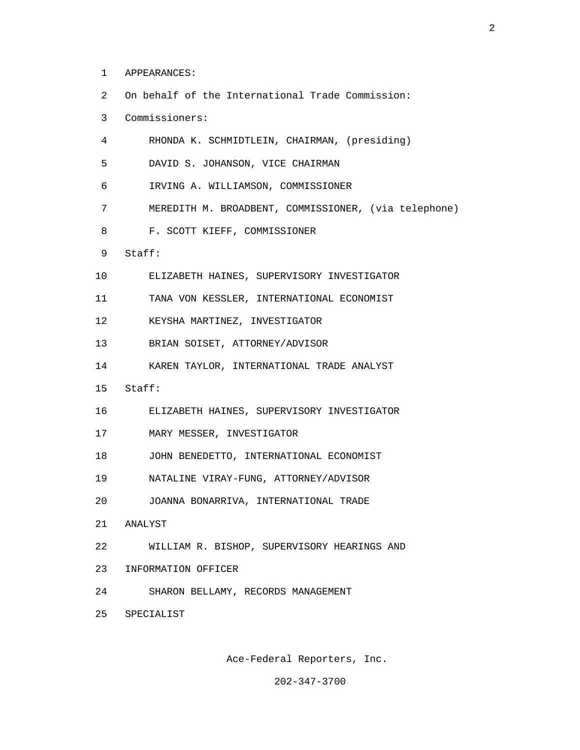- 1 APPEARANCES:
- 2 On behalf of the International Trade Commission:

4 RHONDA K. SCHMIDTLEIN, CHAIRMAN, (presiding)

- 3 Commissioners:
- 5 DAVID S. JOHANSON, VICE CHAIRMAN 6 IRVING A. WILLIAMSON, COMMISSIONER 7 MEREDITH M. BROADBENT, COMMISSIONER, (via telephone) 8 F. SCOTT KIEFF, COMMISSIONER 9 Staff: 10 ELIZABETH HAINES, SUPERVISORY INVESTIGATOR 11 TANA VON KESSLER, INTERNATIONAL ECONOMIST 12 KEYSHA MARTINEZ, INVESTIGATOR 13 BRIAN SOISET, ATTORNEY/ADVISOR 14 KAREN TAYLOR, INTERNATIONAL TRADE ANALYST 15 Staff: 16 ELIZABETH HAINES, SUPERVISORY INVESTIGATOR 17 MARY MESSER, INVESTIGATOR 18 JOHN BENEDETTO, INTERNATIONAL ECONOMIST 19 NATALINE VIRAY-FUNG, ATTORNEY/ADVISOR 20 JOANNA BONARRIVA, INTERNATIONAL TRADE 21 ANALYST 22 WILLIAM R. BISHOP, SUPERVISORY HEARINGS AND
- 23 INFORMATION OFFICER
- 24 SHARON BELLAMY, RECORDS MANAGEMENT
- 25 SPECIALIST

Ace-Federal Reporters, Inc.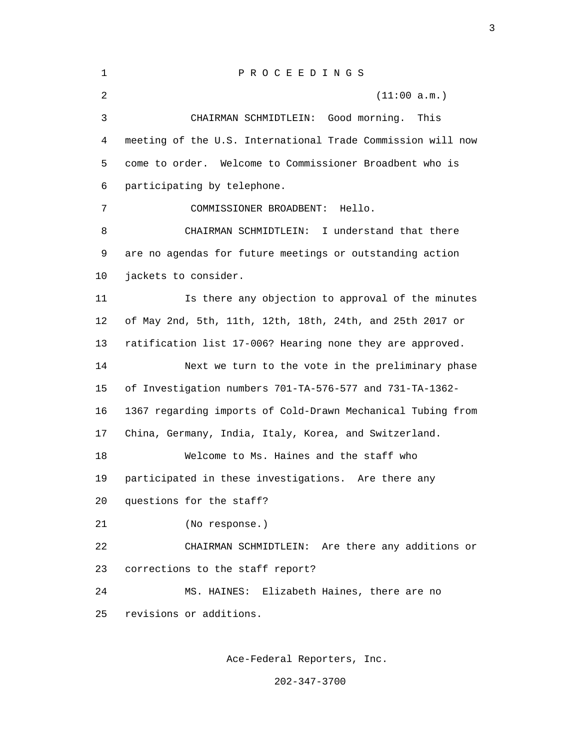| $\mathbf 1$ | PROCEEDINGS                                                 |  |
|-------------|-------------------------------------------------------------|--|
| 2           | (11:00 a.m.)                                                |  |
| 3           | CHAIRMAN SCHMIDTLEIN: Good morning.<br>This                 |  |
| 4           | meeting of the U.S. International Trade Commission will now |  |
| 5           | come to order. Welcome to Commissioner Broadbent who is     |  |
| 6           | participating by telephone.                                 |  |
| 7           | COMMISSIONER BROADBENT:<br>Hello.                           |  |
| 8           | CHAIRMAN SCHMIDTLEIN: I understand that there               |  |
| 9           | are no agendas for future meetings or outstanding action    |  |
| 10          | jackets to consider.                                        |  |
| 11          | Is there any objection to approval of the minutes           |  |
| 12          | of May 2nd, 5th, 11th, 12th, 18th, 24th, and 25th 2017 or   |  |
| 13          | ratification list 17-006? Hearing none they are approved.   |  |
| 14          | Next we turn to the vote in the preliminary phase           |  |
| 15          | of Investigation numbers 701-TA-576-577 and 731-TA-1362-    |  |
| 16          | 1367 regarding imports of Cold-Drawn Mechanical Tubing from |  |
| 17          | China, Germany, India, Italy, Korea, and Switzerland.       |  |
| 18          | Welcome to Ms. Haines and the staff who                     |  |
| 19          | participated in these investigations. Are there any         |  |
| 20          | questions for the staff?                                    |  |
| 21          | (No response.)                                              |  |
| 22          | CHAIRMAN SCHMIDTLEIN: Are there any additions or            |  |
| 23          | corrections to the staff report?                            |  |
| 24          | Elizabeth Haines, there are no<br>MS. HAINES:               |  |
| 25          | revisions or additions.                                     |  |
|             |                                                             |  |

Ace-Federal Reporters, Inc.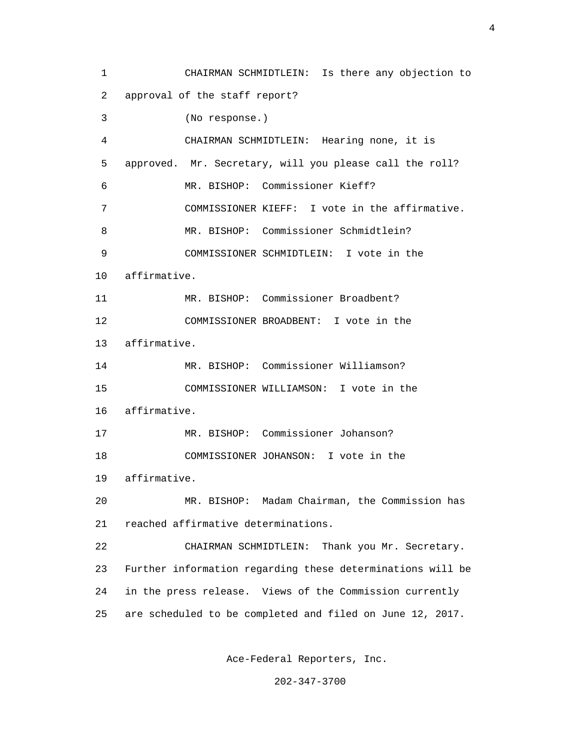1 CHAIRMAN SCHMIDTLEIN: Is there any objection to 2 approval of the staff report? 3 (No response.) 4 CHAIRMAN SCHMIDTLEIN: Hearing none, it is 5 approved. Mr. Secretary, will you please call the roll? 6 MR. BISHOP: Commissioner Kieff? 7 COMMISSIONER KIEFF: I vote in the affirmative. 8 MR. BISHOP: Commissioner Schmidtlein? 9 COMMISSIONER SCHMIDTLEIN: I vote in the 10 affirmative. 11 MR. BISHOP: Commissioner Broadbent? 12 COMMISSIONER BROADBENT: I vote in the 13 affirmative. 14 MR. BISHOP: Commissioner Williamson? 15 COMMISSIONER WILLIAMSON: I vote in the 16 affirmative. 17 MR. BISHOP: Commissioner Johanson? 18 COMMISSIONER JOHANSON: I vote in the 19 affirmative. 20 MR. BISHOP: Madam Chairman, the Commission has 21 reached affirmative determinations. 22 CHAIRMAN SCHMIDTLEIN: Thank you Mr. Secretary. 23 Further information regarding these determinations will be 24 in the press release. Views of the Commission currently 25 are scheduled to be completed and filed on June 12, 2017.

Ace-Federal Reporters, Inc.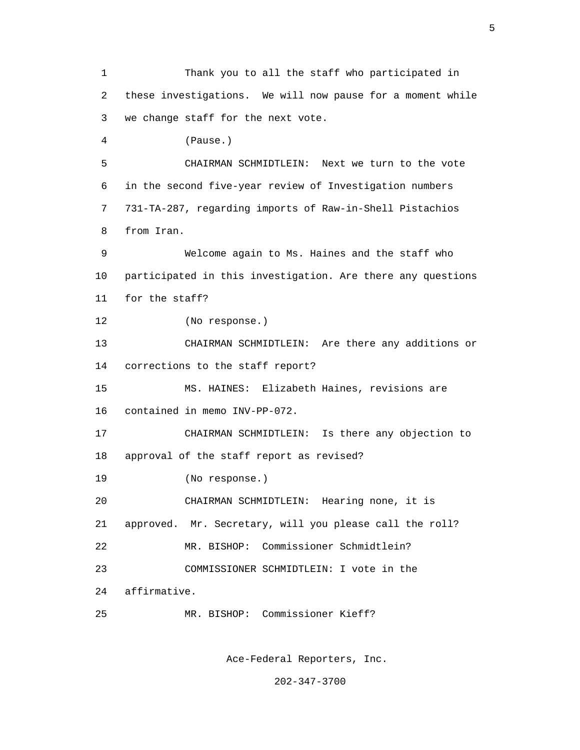1 Thank you to all the staff who participated in 2 these investigations. We will now pause for a moment while 3 we change staff for the next vote. 4 (Pause.) 5 CHAIRMAN SCHMIDTLEIN: Next we turn to the vote 6 in the second five-year review of Investigation numbers 7 731-TA-287, regarding imports of Raw-in-Shell Pistachios 8 from Iran. 9 Welcome again to Ms. Haines and the staff who 10 participated in this investigation. Are there any questions 11 for the staff? 12 (No response.) 13 CHAIRMAN SCHMIDTLEIN: Are there any additions or 14 corrections to the staff report? 15 MS. HAINES: Elizabeth Haines, revisions are 16 contained in memo INV-PP-072. 17 CHAIRMAN SCHMIDTLEIN: Is there any objection to 18 approval of the staff report as revised? 19 (No response.) 20 CHAIRMAN SCHMIDTLEIN: Hearing none, it is 21 approved. Mr. Secretary, will you please call the roll? 22 MR. BISHOP: Commissioner Schmidtlein? 23 COMMISSIONER SCHMIDTLEIN: I vote in the 24 affirmative. 25 MR. BISHOP: Commissioner Kieff?

Ace-Federal Reporters, Inc.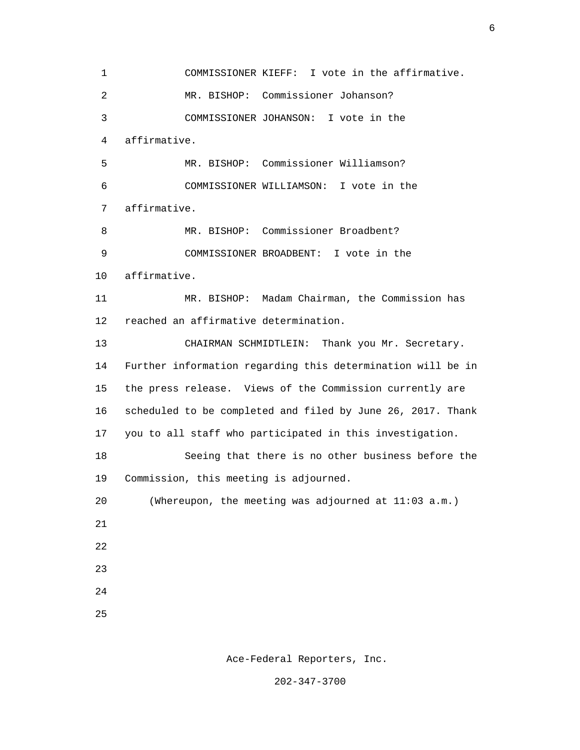1 COMMISSIONER KIEFF: I vote in the affirmative. 2 MR. BISHOP: Commissioner Johanson? 3 COMMISSIONER JOHANSON: I vote in the 4 affirmative. 5 MR. BISHOP: Commissioner Williamson? 6 COMMISSIONER WILLIAMSON: I vote in the 7 affirmative. 8 MR. BISHOP: Commissioner Broadbent? 9 COMMISSIONER BROADBENT: I vote in the 10 affirmative. 11 MR. BISHOP: Madam Chairman, the Commission has 12 reached an affirmative determination. 13 CHAIRMAN SCHMIDTLEIN: Thank you Mr. Secretary. 14 Further information regarding this determination will be in 15 the press release. Views of the Commission currently are 16 scheduled to be completed and filed by June 26, 2017. Thank 17 you to all staff who participated in this investigation. 18 Seeing that there is no other business before the 19 Commission, this meeting is adjourned. 20 (Whereupon, the meeting was adjourned at 11:03 a.m.) 21 22 23 24 <u>25</u>

Ace-Federal Reporters, Inc.